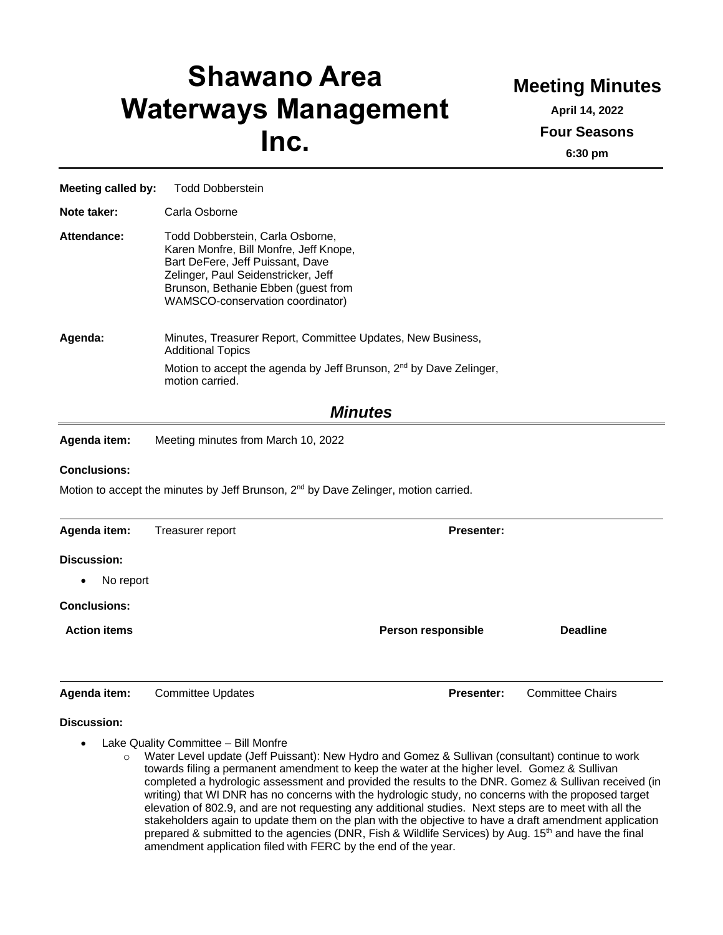# **Shawano Area Waterways Management Inc.**

## **Meeting Minutes**

**April 14, 2022 Four Seasons 6:30 pm**

**Meeting called by:** Todd Dobberstein **Note taker:** Carla Osborne **Attendance:** Todd Dobberstein, Carla Osborne, Karen Monfre, Bill Monfre, Jeff Knope, Bart DeFere, Jeff Puissant, Dave Zelinger, Paul Seidenstricker, Jeff Brunson, Bethanie Ebben (guest from WAMSCO-conservation coordinator) **Agenda:** Minutes, Treasurer Report, Committee Updates, New Business, Additional Topics Motion to accept the agenda by Jeff Brunson, 2<sup>nd</sup> by Dave Zelinger, motion carried. *Minutes* **Agenda item:** Meeting minutes from March 10, 2022 **Conclusions:** Motion to accept the minutes by Jeff Brunson,  $2<sup>nd</sup>$  by Dave Zelinger, motion carried. **Agenda item:** Treasurer report **Presenter: Presenter: Discussion:** • No report **Conclusions: Action items Person responsible Deadline Agenda item:** Committee Updates **Presenter:** Committee Chairs

#### **Discussion:**

- Lake Quality Committee Bill Monfre
	- o Water Level update (Jeff Puissant): New Hydro and Gomez & Sullivan (consultant) continue to work towards filing a permanent amendment to keep the water at the higher level. Gomez & Sullivan completed a hydrologic assessment and provided the results to the DNR. Gomez & Sullivan received (in writing) that WI DNR has no concerns with the hydrologic study, no concerns with the proposed target elevation of 802.9, and are not requesting any additional studies. Next steps are to meet with all the stakeholders again to update them on the plan with the objective to have a draft amendment application prepared & submitted to the agencies (DNR, Fish & Wildlife Services) by Aug.  $15<sup>th</sup>$  and have the final amendment application filed with FERC by the end of the year.